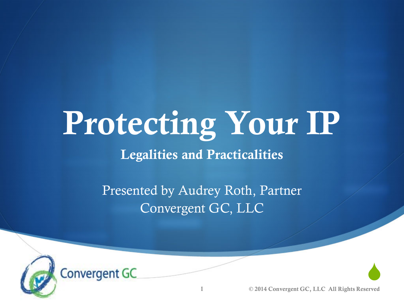### Protecting Your IP Legalities and Practicalities

Presented by Audrey Roth, Partner Convergent GC, LLC



1 © 2014 Convergent GC, LLC All Rights Reserved

 $\begin{array}{c} \bullet \\ \bullet \end{array}$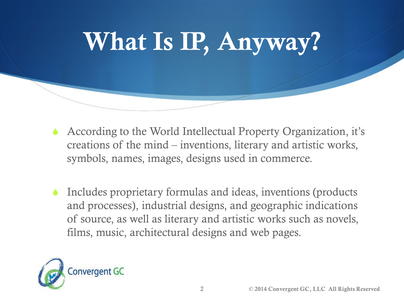

- According to the World Intellectual Property Organization, it's creations of the mind – inventions, literary and artistic works, symbols, names, images, designs used in commerce.
- Includes proprietary formulas and ideas, inventions (products and processes), industrial designs, and geographic indications of source, as well as literary and artistic works such as novels, films, music, architectural designs and web pages.

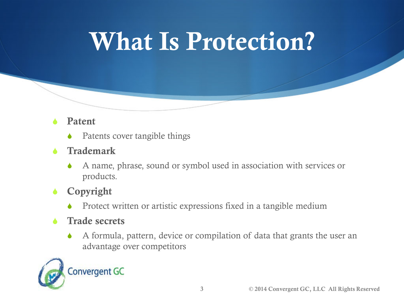## What Is Protection?

#### Patent

- Patents cover tangible things
- Trademark
	- A name, phrase, sound or symbol used in association with services or products.
- Copyright
	- Protect written or artistic expressions fixed in a tangible medium

#### Trade secrets

 A formula, pattern, device or compilation of data that grants the user an advantage over competitors

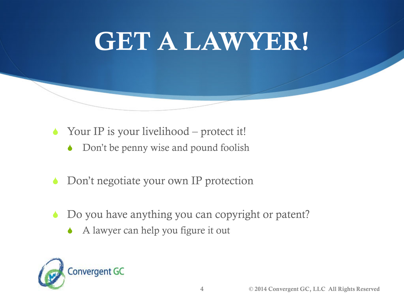### GET A LAWYER!

- ◆ Your IP is your livelihood protect it!
	- Don't be penny wise and pound foolish
- Don't negotiate your own IP protection
- Do you have anything you can copyright or patent?
	- A lawyer can help you figure it out

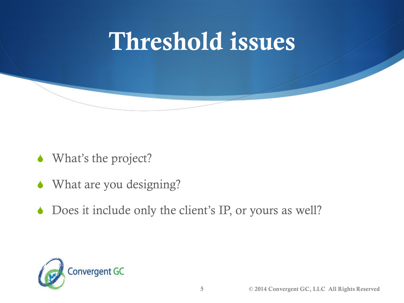## Threshold issues

- What's the project?
- What are you designing?
- ◆ Does it include only the client's IP, or yours as well?

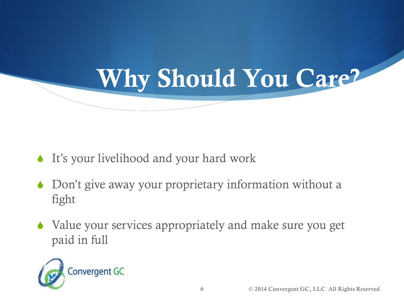## Why Should You Care?

- It's your livelihood and your hard work
- ◆ Don't give away your proprietary information without a fight
- Value your services appropriately and make sure you get paid in full

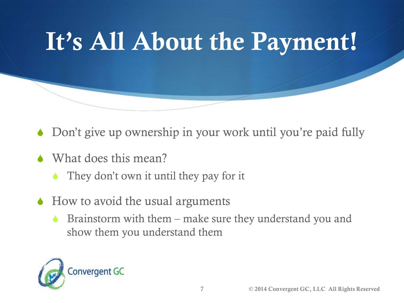

- Don't give up ownership in your work until you're paid fully
- What does this mean?
	- They don't own it until they pay for it
- $\triangle$  How to avoid the usual arguments
	- **Brainstorm with them make sure they understand you and** show them you understand them

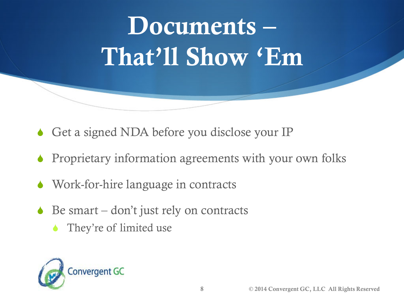## Documents – That'll Show 'Em

- Get a signed NDA before you disclose your IP
- Proprietary information agreements with your own folks
- Work-for-hire language in contracts
- $\triangle$  Be smart don't just rely on contracts
	- They're of limited use

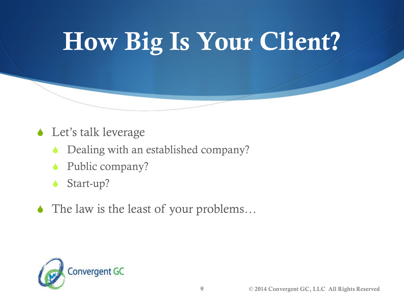## How Big Is Your Client?

- **↓** Let's talk leverage
	- Dealing with an established company?
	- Public company?
	- Start-up?
- ◆ The law is the least of your problems...

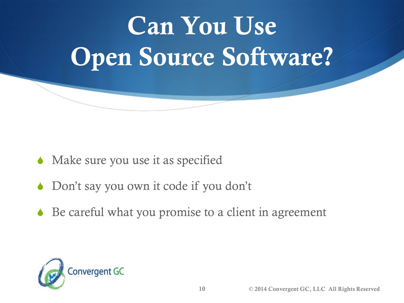# Can You Use Open Source Software?

- Make sure you use it as specified
- Don't say you own it code if you don't
- Be careful what you promise to a client in agreement

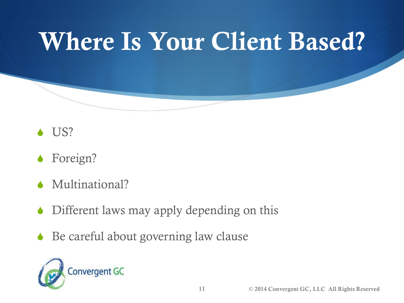## Where Is Your Client Based?



- Foreign?
- Multinational?
- Different laws may apply depending on this
- Be careful about governing law clause

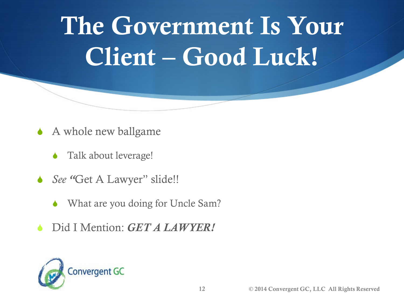## The Government Is Your Client – Good Luck!

- A whole new ballgame
	- Talk about leverage!
- *See "*Get A Lawyer" slide!!
	- What are you doing for Uncle Sam?
- Did I Mention: *GET A LAWYER!*

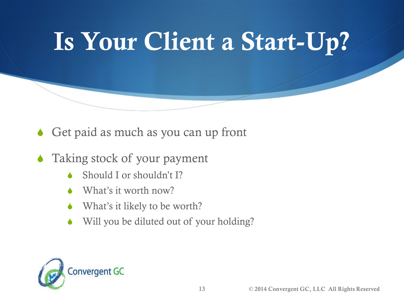## Is Your Client a Start-Up?

- Get paid as much as you can up front
- Taking stock of your payment
	- Should I or shouldn't I?
	- What's it worth now?
	- What's it likely to be worth?
	- Will you be diluted out of your holding?

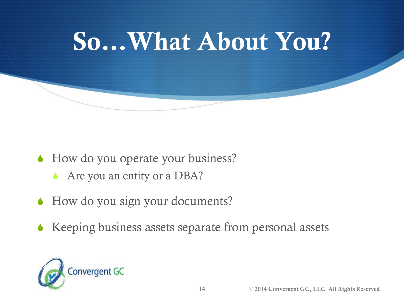

- ◆ How do you operate your business?
	- Are you an entity or a DBA?
- How do you sign your documents?
- $\triangle$  Keeping business assets separate from personal assets

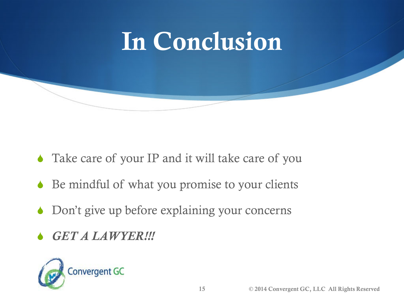

- Take care of your IP and it will take care of you
- Be mindful of what you promise to your clients
- Don't give up before explaining your concerns
- *GET A LAWYER!!!*